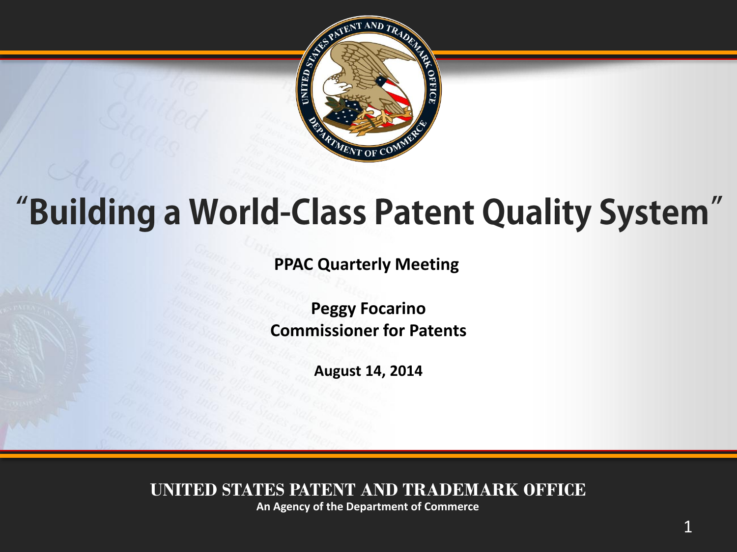

## "Building a World-Class Patent Quality System"

**PPAC Quarterly Meeting** 

**Peggy Focarino Commissioner for Patents**

**August 14, 2014**

**UNITED STATES PATENT AND TRADEMARK OFFICE**

**An Agency of the Department of Commerce**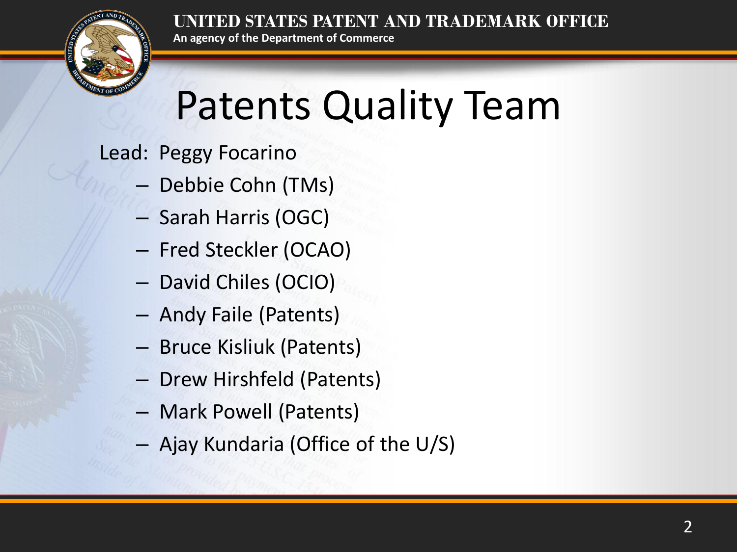

# Patents Quality Team

Lead: Peggy Focarino

– Debbie Cohn (TMs)

**An agency of the Department of Commerce**

- Sarah Harris (OGC)
- Fred Steckler (OCAO)
- David Chiles (OCIO)
- Andy Faile (Patents)
- Bruce Kisliuk (Patents)
- Drew Hirshfeld (Patents)
- Mark Powell (Patents)
- Ajay Kundaria (Office of the U/S)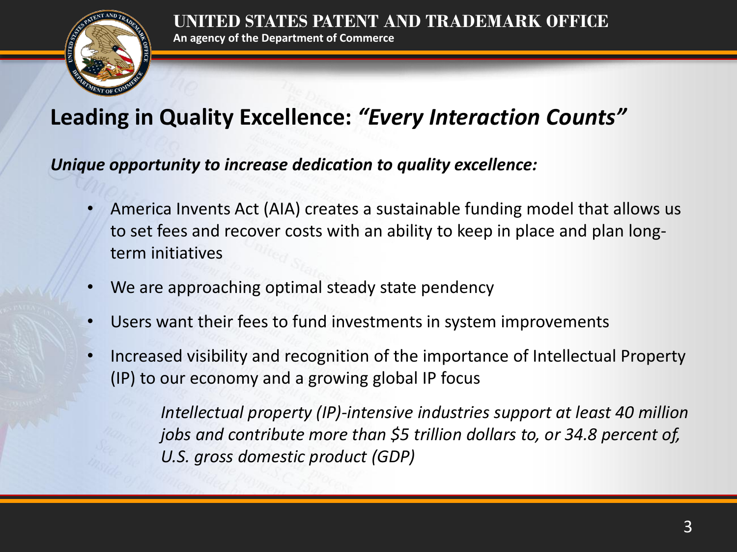

#### **Leading in Quality Excellence:** *"Every Interaction Counts"*

*Unique opportunity to increase dedication to quality excellence:*

- America Invents Act (AIA) creates a sustainable funding model that allows us to set fees and recover costs with an ability to keep in place and plan longterm initiatives
- We are approaching optimal steady state pendency
- Users want their fees to fund investments in system improvements
- Increased visibility and recognition of the importance of Intellectual Property (IP) to our economy and a growing global IP focus

*Intellectual property (IP)-intensive industries support at least 40 million jobs and contribute more than \$5 trillion dollars to, or 34.8 percent of, U.S. gross domestic product (GDP)*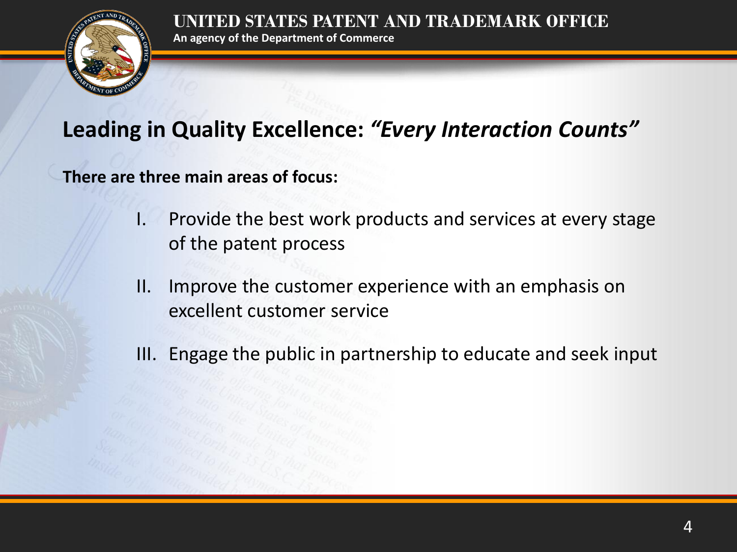

#### **Leading in Quality Excellence:** *"Every Interaction Counts"*

**An agency of the Department of Commerce**

**There are three main areas of focus:**

- I. Provide the best work products and services at every stage of the patent process
- II. Improve the customer experience with an emphasis on excellent customer service
- III. Engage the public in partnership to educate and seek input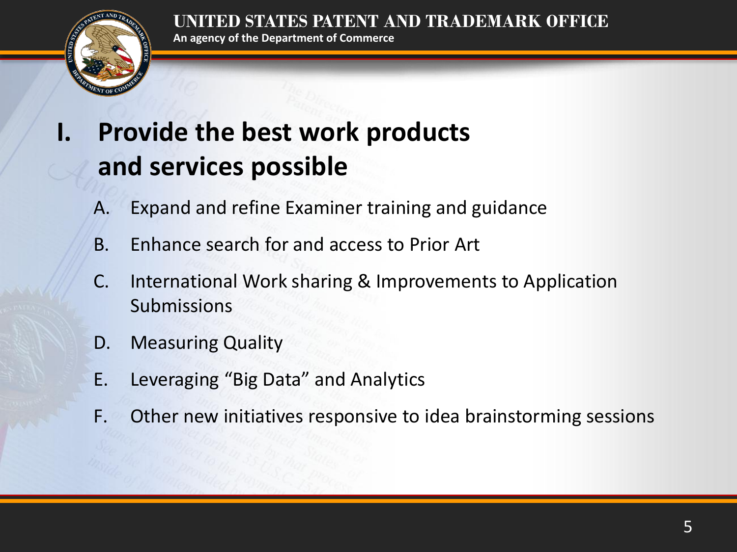

### **I. Provide the best work products and services possible**

**An agency of the Department of Commerce**

- A. Expand and refine Examiner training and guidance
- B. Enhance search for and access to Prior Art
- C. International Work sharing & Improvements to Application Submissions
- D. Measuring Quality
- E. Leveraging "Big Data" and Analytics
- F. Other new initiatives responsive to idea brainstorming sessions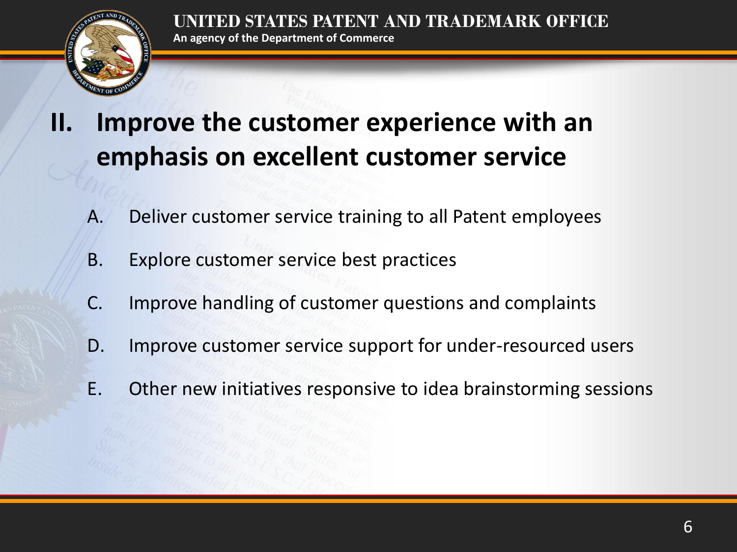

### **II. Improve the customer experience with an emphasis on excellent customer service**

- A. Deliver customer service training to all Patent employees
- B. Explore customer service best practices
- C. Improve handling of customer questions and complaints
- D. Improve customer service support for under-resourced users
- E. Other new initiatives responsive to idea brainstorming sessions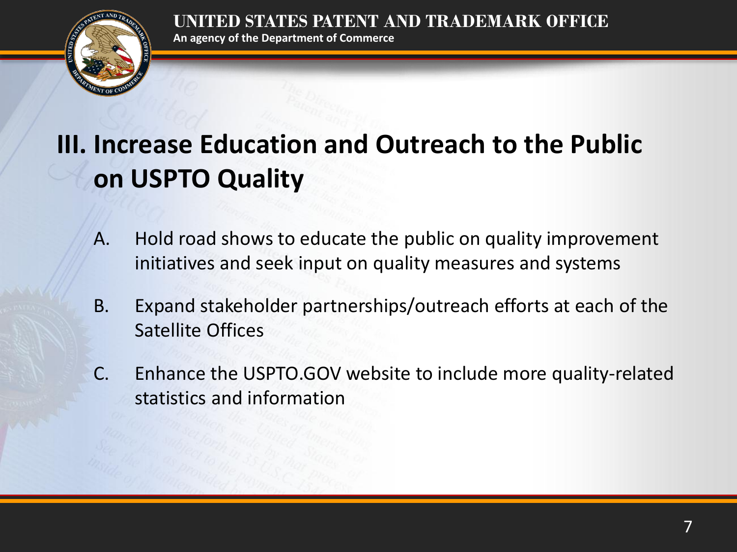

**An agency of the Department of Commerce**

### **III. Increase Education and Outreach to the Public on USPTO Quality**

- A. Hold road shows to educate the public on quality improvement initiatives and seek input on quality measures and systems
- B. Expand stakeholder partnerships/outreach efforts at each of the Satellite Offices
- C. Enhance the USPTO.GOV website to include more quality-related statistics and information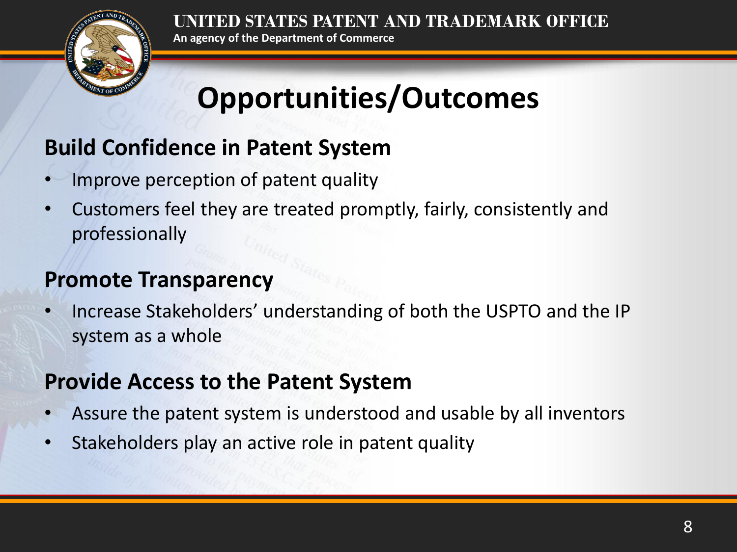**STATES PATENT AND TRADEMARK OFFICE An agency of the Department of Commerce**



## **Opportunities/Outcomes**

#### **Build Confidence in Patent System**

- Improve perception of patent quality
- Customers feel they are treated promptly, fairly, consistently and professionally

#### **Promote Transparency**

• Increase Stakeholders' understanding of both the USPTO and the IP system as a whole

#### **Provide Access to the Patent System**

- Assure the patent system is understood and usable by all inventors
- Stakeholders play an active role in patent quality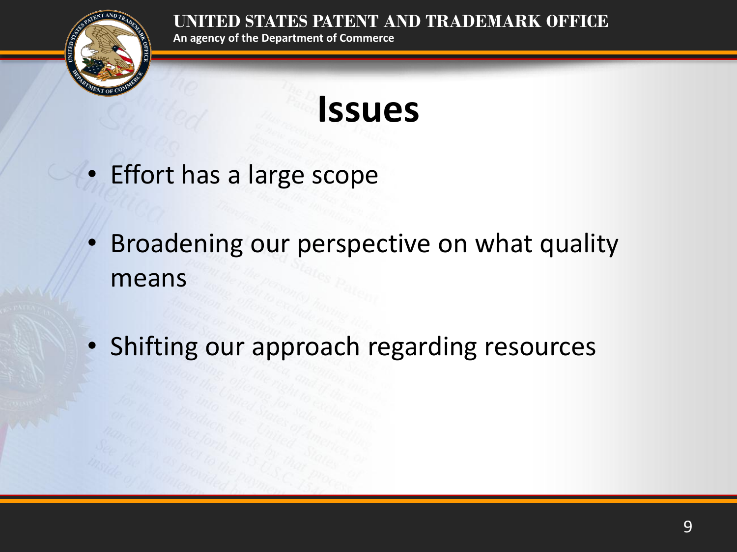

**An agency of the Department of Commerce**

## **Issues**

- Effort has a large scope
- Broadening our perspective on what quality means
- Shifting our approach regarding resources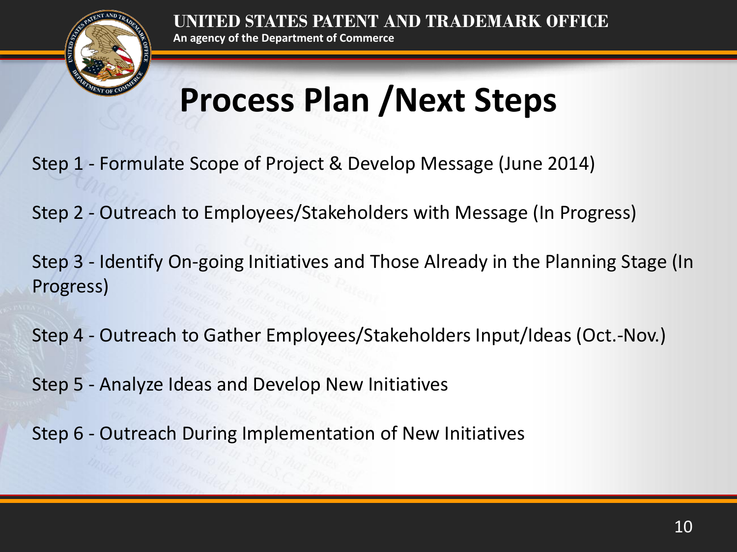

## **Process Plan /Next Steps**

- Step 1 Formulate Scope of Project & Develop Message (June 2014)
- Step 2 Outreach to Employees/Stakeholders with Message (In Progress)
- Step 3 Identify On-going Initiatives and Those Already in the Planning Stage (In Progress)
- Step 4 Outreach to Gather Employees/Stakeholders Input/Ideas (Oct.-Nov.)
- Step 5 Analyze Ideas and Develop New Initiatives
- Step 6 Outreach During Implementation of New Initiatives